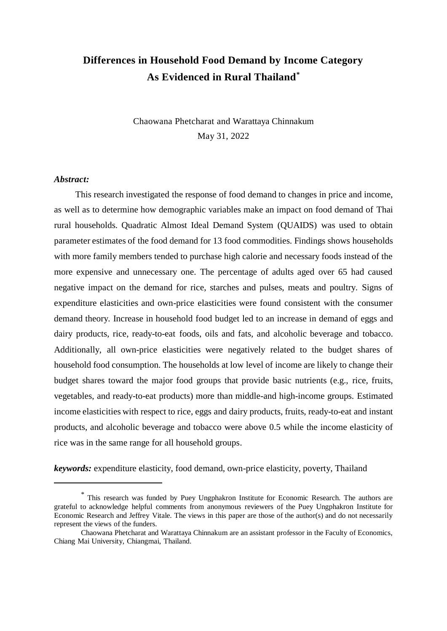# **Differences in Household Food Demand by Income Category As Evidenced in Rural Thailand\***

Chaowana Phetcharat and Warattaya Chinnakum May 31, 2022

#### *Abstract:*

<u>.</u>

This research investigated the response of food demand to changes in price and income, as well as to determine how demographic variables make an impact on food demand of Thai rural households. Quadratic Almost Ideal Demand System (QUAIDS) was used to obtain parameter estimates of the food demand for 13 food commodities. Findings shows households with more family members tended to purchase high calorie and necessary foods instead of the more expensive and unnecessary one. The percentage of adults aged over 65 had caused negative impact on the demand for rice, starches and pulses, meats and poultry. Signs of expenditure elasticities and own-price elasticities were found consistent with the consumer demand theory. Increase in household food budget led to an increase in demand of eggs and dairy products, rice, ready-to-eat foods, oils and fats, and alcoholic beverage and tobacco. Additionally, all own-price elasticities were negatively related to the budget shares of household food consumption. The households at low level of income are likely to change their budget shares toward the major food groups that provide basic nutrients (e.g., rice, fruits, vegetables, and ready-to-eat products) more than middle-and high-income groups. Estimated income elasticities with respect to rice, eggs and dairy products, fruits, ready-to-eat and instant products, and alcoholic beverage and tobacco were above 0.5 while the income elasticity of rice was in the same range for all household groups.

*keywords:* expenditure elasticity, food demand, own-price elasticity, poverty, Thailand

<sup>\*</sup> This research was funded by Puey Ungphakron Institute for Economic Research. The authors are grateful to acknowledge helpful comments from anonymous reviewers of the Puey Ungphakron Institute for Economic Research and Jeffrey Vitale. The views in this paper are those of the author(s) and do not necessarily represent the views of the funders.

Chaowana Phetcharat and Warattaya Chinnakum are an assistant professor in the Faculty of Economics, Chiang Mai University, Chiangmai, Thailand.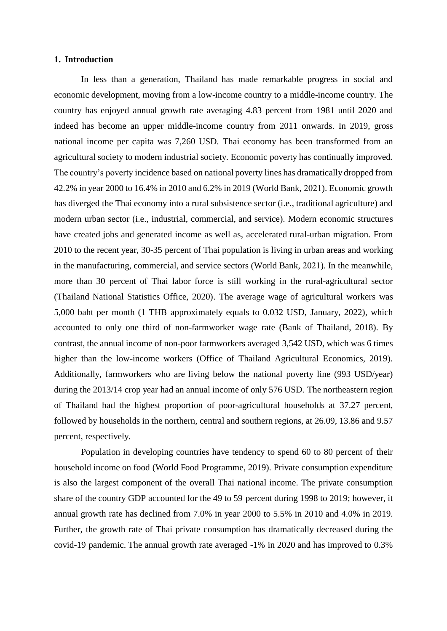### **1. Introduction**

In less than a generation, Thailand has made remarkable progress in social and economic development, moving from a low-income country to a middle-income country. The country has enjoyed annual growth rate averaging 4.83 percent from 1981 until 2020 and indeed has become an upper middle-income country from 2011 onwards. In 2019, gross national income per capita was 7,260 USD. Thai economy has been transformed from an agricultural society to modern industrial society. Economic poverty has continually improved. The country's poverty incidence based on national poverty lines has dramatically dropped from 42.2% in year 2000 to 16.4% in 2010 and 6.2% in 2019 (World Bank, 2021). Economic growth has diverged the Thai economy into a rural subsistence sector (i.e., traditional agriculture) and modern urban sector (i.e., industrial, commercial, and service). Modern economic structures have created jobs and generated income as well as, accelerated rural-urban migration. From 2010 to the recent year, 30-35 percent of Thai population is living in urban areas and working in the manufacturing, commercial, and service sectors (World Bank, 2021). In the meanwhile, more than 30 percent of Thai labor force is still working in the rural-agricultural sector (Thailand National Statistics Office, 2020). The average wage of agricultural workers was 5,000 baht per month (1 THB approximately equals to 0.032 USD, January, 2022), which accounted to only one third of non-farmworker wage rate (Bank of Thailand, 2018). By contrast, the annual income of non-poor farmworkers averaged 3,542 USD, which was 6 times higher than the low-income workers (Office of Thailand Agricultural Economics, 2019). Additionally, farmworkers who are living below the national poverty line (993 USD/year) during the 2013/14 crop year had an annual income of only 576 USD. The northeastern region of Thailand had the highest proportion of poor-agricultural households at 37.27 percent, followed by households in the northern, central and southern regions, at 26.09, 13.86 and 9.57 percent, respectively.

Population in developing countries have tendency to spend 60 to 80 percent of their household income on food (World Food Programme, 2019). Private consumption expenditure is also the largest component of the overall Thai national income. The private consumption share of the country GDP accounted for the 49 to 59 percent during 1998 to 2019; however, it annual growth rate has declined from 7.0% in year 2000 to 5.5% in 2010 and 4.0% in 2019. Further, the growth rate of Thai private consumption has dramatically decreased during the covid-19 pandemic. The annual growth rate averaged -1% in 2020 and has improved to 0.3%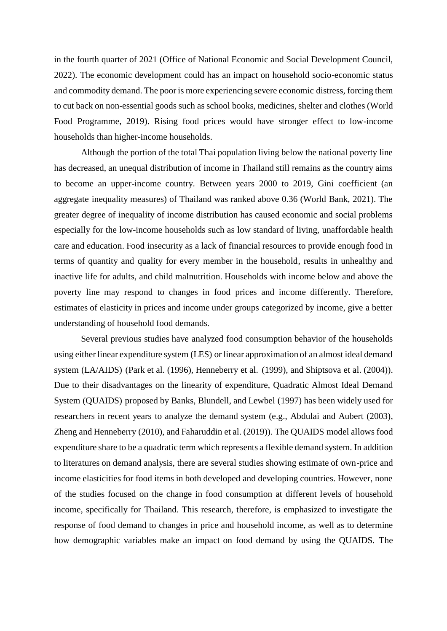in the fourth quarter of 2021 (Office of National Economic and Social Development Council, 2022). The economic development could has an impact on household socio-economic status and commodity demand. The poor is more experiencing severe economic distress*,* forcing them to cut back on non-essential goods such as school books, medicines, shelter and clothes (World Food Programme, 2019). Rising food prices would have stronger effect to low-income households than higher-income households.

Although the portion of the total Thai population living below the national poverty line has decreased, an unequal distribution of income in Thailand still remains as the country aims to become an upper-income country. Between years 2000 to 2019, Gini coefficient (an aggregate inequality measures) of Thailand was ranked above 0.36 (World Bank, 2021). The greater degree of inequality of income distribution has caused economic and social problems especially for the low-income households such as low standard of living, unaffordable health care and education. Food insecurity as a lack of financial resources to provide enough food in terms of quantity and quality for every member in the household, results in unhealthy and inactive life for adults, and child malnutrition. Households with income below and above the poverty line may respond to changes in food prices and income differently. Therefore, estimates of elasticity in prices and income under groups categorized by income, give a better understanding of household food demands.

Several previous studies have analyzed food consumption behavior of the households using either linear expenditure system (LES) or linear approximation of an almost ideal demand system (LA/AIDS) (Park et al. (1996), Henneberry et al. (1999), and Shiptsova et al. (2004)). Due to their disadvantages on the linearity of expenditure, Quadratic Almost Ideal Demand System (QUAIDS) proposed by Banks, Blundell, and Lewbel (1997) has been widely used for researchers in recent years to analyze the demand system (e.g., Abdulai and Aubert (2003), Zheng and Henneberry (2010), and Faharuddin et al. (2019)). The QUAIDS model allows food expenditure share to be a quadratic term which represents a flexible demand system. In addition to literatures on demand analysis, there are several studies showing estimate of own-price and income elasticities for food items in both developed and developing countries. However, none of the studies focused on the change in food consumption at different levels of household income, specifically for Thailand. This research, therefore, is emphasized to investigate the response of food demand to changes in price and household income, as well as to determine how demographic variables make an impact on food demand by using the QUAIDS. The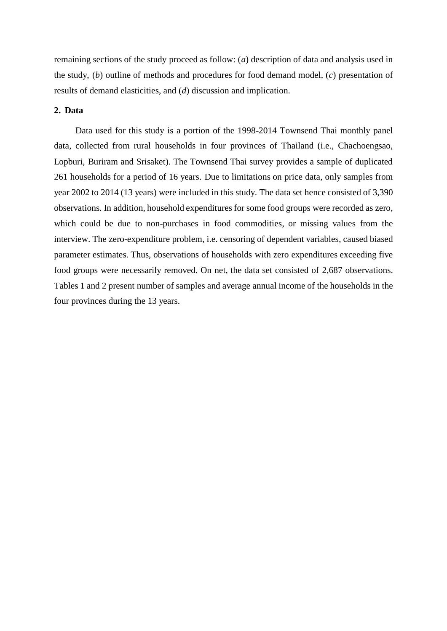remaining sections of the study proceed as follow: (*a*) description of data and analysis used in the study, (*b*) outline of methods and procedures for food demand model, (*c*) presentation of results of demand elasticities, and (*d*) discussion and implication.

# **2. Data**

Data used for this study is a portion of the 1998-2014 Townsend Thai monthly panel data, collected from rural households in four provinces of Thailand (i.e., Chachoengsao, Lopburi, Buriram and Srisaket). The Townsend Thai survey provides a sample of duplicated 261 households for a period of 16 years. Due to limitations on price data, only samples from year 2002 to 2014 (13 years) were included in this study. The data set hence consisted of 3,390 observations. In addition, household expenditures for some food groups were recorded as zero, which could be due to non-purchases in food commodities, or missing values from the interview. The zero-expenditure problem, i.e. censoring of dependent variables, caused biased parameter estimates. Thus, observations of households with zero expenditures exceeding five food groups were necessarily removed. On net, the data set consisted of 2,687 observations. Tables 1 and 2 present number of samples and average annual income of the households in the four provinces during the 13 years.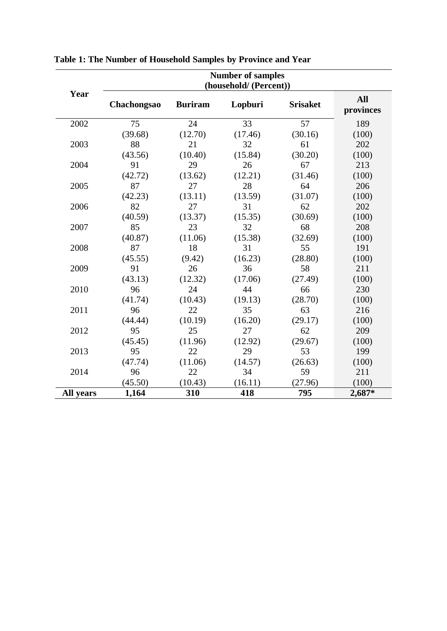|           | <b>Number of samples</b><br>(household/ (Percent)) |                |         |                 |                         |  |  |  |  |  |
|-----------|----------------------------------------------------|----------------|---------|-----------------|-------------------------|--|--|--|--|--|
| Year      | Chachongsao                                        | <b>Buriram</b> | Lopburi | <b>Srisaket</b> | <b>All</b><br>provinces |  |  |  |  |  |
| 2002      | 75                                                 | 24             | 33      | 57              | 189                     |  |  |  |  |  |
|           | (39.68)                                            | (12.70)        | (17.46) | (30.16)         | (100)                   |  |  |  |  |  |
| 2003      | 88                                                 | 21             | 32      | 61              | 202                     |  |  |  |  |  |
|           | (43.56)                                            | (10.40)        | (15.84) | (30.20)         | (100)                   |  |  |  |  |  |
| 2004      | 91                                                 | 29             | 26      | 67              | 213                     |  |  |  |  |  |
|           | (42.72)                                            | (13.62)        | (12.21) | (31.46)         | (100)                   |  |  |  |  |  |
| 2005      | 87                                                 | 27             | 28      | 64              | 206                     |  |  |  |  |  |
|           | (42.23)                                            | (13.11)        | (13.59) | (31.07)         | (100)                   |  |  |  |  |  |
| 2006      | 82                                                 | 27             | 31      | 62              | 202                     |  |  |  |  |  |
|           | (40.59)                                            | (13.37)        | (15.35) | (30.69)         | (100)                   |  |  |  |  |  |
| 2007      | 85                                                 | 23             | 32      | 68              | 208                     |  |  |  |  |  |
|           | (40.87)                                            | (11.06)        | (15.38) | (32.69)         | (100)                   |  |  |  |  |  |
| 2008      | 87                                                 | 18             | 31      | 55              | 191                     |  |  |  |  |  |
|           | (45.55)                                            | (9.42)         | (16.23) | (28.80)         | (100)                   |  |  |  |  |  |
| 2009      | 91                                                 | 26             | 36      | 58              | 211                     |  |  |  |  |  |
|           | (43.13)                                            | (12.32)        | (17.06) | (27.49)         | (100)                   |  |  |  |  |  |
| 2010      | 96                                                 | 24             | 44      | 66              | 230                     |  |  |  |  |  |
|           | (41.74)                                            | (10.43)        | (19.13) | (28.70)         | (100)                   |  |  |  |  |  |
| 2011      | 96                                                 | 22             | 35      | 63              | 216                     |  |  |  |  |  |
|           | (44.44)                                            | (10.19)        | (16.20) | (29.17)         | (100)                   |  |  |  |  |  |
| 2012      | 95                                                 | 25             | 27      | 62              | 209                     |  |  |  |  |  |
|           | (45.45)                                            | (11.96)        | (12.92) | (29.67)         | (100)                   |  |  |  |  |  |
| 2013      | 95                                                 | 22             | 29      | 53              | 199                     |  |  |  |  |  |
|           | (47.74)                                            | (11.06)        | (14.57) | (26.63)         | (100)                   |  |  |  |  |  |
| 2014      | 96                                                 | 22             | 34      | 59              | 211                     |  |  |  |  |  |
|           | (45.50)                                            | (10.43)        | (16.11) | (27.96)         | (100)                   |  |  |  |  |  |
| All years | 1,164                                              | 310            | 418     | 795             | 2,687*                  |  |  |  |  |  |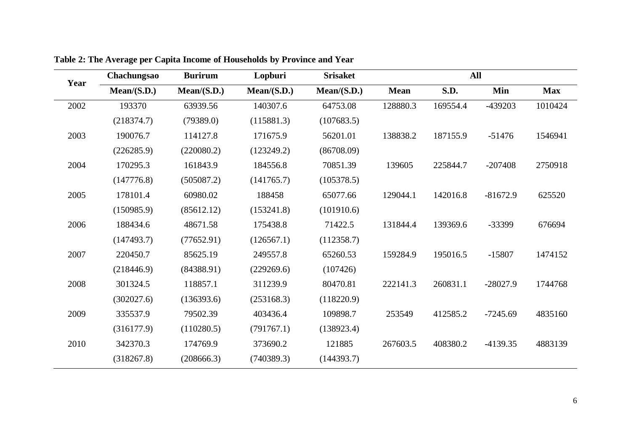| Year | Chachungsao | <b>Burirum</b> | Lopburi     | <b>Srisaket</b> |             | <b>All</b> |            |            |
|------|-------------|----------------|-------------|-----------------|-------------|------------|------------|------------|
|      | Mean/(S.D.) | Mean/(S.D.)    | Mean/(S.D.) | Mean/(S.D.)     | <b>Mean</b> | S.D.       | Min        | <b>Max</b> |
| 2002 | 193370      | 63939.56       | 140307.6    | 64753.08        | 128880.3    | 169554.4   | -439203    | 1010424    |
|      | (218374.7)  | (79389.0)      | (115881.3)  | (107683.5)      |             |            |            |            |
| 2003 | 190076.7    | 114127.8       | 171675.9    | 56201.01        | 138838.2    | 187155.9   | $-51476$   | 1546941    |
|      | (226285.9)  | (220080.2)     | (123249.2)  | (86708.09)      |             |            |            |            |
| 2004 | 170295.3    | 161843.9       | 184556.8    | 70851.39        | 139605      | 225844.7   | $-207408$  | 2750918    |
|      | (147776.8)  | (505087.2)     | (141765.7)  | (105378.5)      |             |            |            |            |
| 2005 | 178101.4    | 60980.02       | 188458      | 65077.66        | 129044.1    | 142016.8   | $-81672.9$ | 625520     |
|      | (150985.9)  | (85612.12)     | (153241.8)  | (101910.6)      |             |            |            |            |
| 2006 | 188434.6    | 48671.58       | 175438.8    | 71422.5         | 131844.4    | 139369.6   | -33399     | 676694     |
|      | (147493.7)  | (77652.91)     | (126567.1)  | (112358.7)      |             |            |            |            |
| 2007 | 220450.7    | 85625.19       | 249557.8    | 65260.53        | 159284.9    | 195016.5   | $-15807$   | 1474152    |
|      | (218446.9)  | (84388.91)     | (229269.6)  | (107426)        |             |            |            |            |
| 2008 | 301324.5    | 118857.1       | 311239.9    | 80470.81        | 222141.3    | 260831.1   | $-28027.9$ | 1744768    |
|      | (302027.6)  | (136393.6)     | (253168.3)  | (118220.9)      |             |            |            |            |
| 2009 | 335537.9    | 79502.39       | 403436.4    | 109898.7        | 253549      | 412585.2   | $-7245.69$ | 4835160    |
|      | (316177.9)  | (110280.5)     | (791767.1)  | (138923.4)      |             |            |            |            |
| 2010 | 342370.3    | 174769.9       | 373690.2    | 121885          | 267603.5    | 408380.2   | $-4139.35$ | 4883139    |
|      | (318267.8)  | (208666.3)     | (740389.3)  | (144393.7)      |             |            |            |            |

**Table 2: The Average per Capita Income of Households by Province and Year**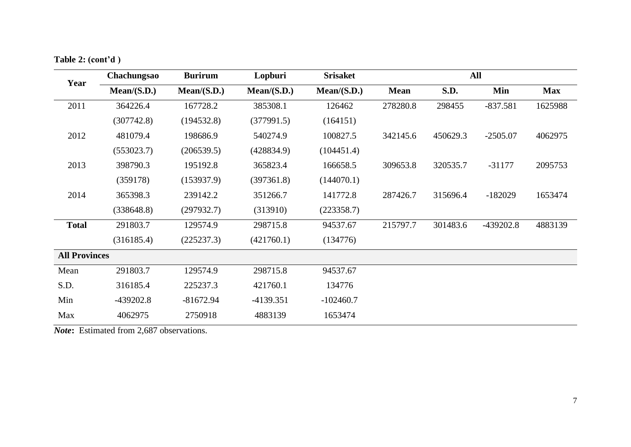|  | Table 2: (cont'd) |  |
|--|-------------------|--|
|  |                   |  |

| Year                 | Chachungsao | <b>Burirum</b> | Lopburi     | <b>Srisaket</b> |             |             | All        |            |
|----------------------|-------------|----------------|-------------|-----------------|-------------|-------------|------------|------------|
|                      | Mean/(S.D.) | Mean/(S.D.)    | Mean/(S.D.) | Mean/(S.D.)     | <b>Mean</b> | <b>S.D.</b> | Min        | <b>Max</b> |
| 2011                 | 364226.4    | 167728.2       | 385308.1    | 126462          | 278280.8    | 298455      | $-837.581$ | 1625988    |
|                      | (307742.8)  | (194532.8)     | (377991.5)  | (164151)        |             |             |            |            |
| 2012                 | 481079.4    | 198686.9       | 540274.9    | 100827.5        | 342145.6    | 450629.3    | $-2505.07$ | 4062975    |
|                      | (553023.7)  | (206539.5)     | (428834.9)  | (104451.4)      |             |             |            |            |
| 2013                 | 398790.3    | 195192.8       | 365823.4    | 166658.5        | 309653.8    | 320535.7    | $-31177$   | 2095753    |
|                      | (359178)    | (153937.9)     | (397361.8)  | (144070.1)      |             |             |            |            |
| 2014                 | 365398.3    | 239142.2       | 351266.7    | 141772.8        | 287426.7    | 315696.4    | $-182029$  | 1653474    |
|                      | (338648.8)  | (297932.7)     | (313910)    | (223358.7)      |             |             |            |            |
| <b>Total</b>         | 291803.7    | 129574.9       | 298715.8    | 94537.67        | 215797.7    | 301483.6    | -439202.8  | 4883139    |
|                      | (316185.4)  | (225237.3)     | (421760.1)  | (134776)        |             |             |            |            |
| <b>All Provinces</b> |             |                |             |                 |             |             |            |            |
| Mean                 | 291803.7    | 129574.9       | 298715.8    | 94537.67        |             |             |            |            |
| S.D.                 | 316185.4    | 225237.3       | 421760.1    | 134776          |             |             |            |            |
| Min                  | $-439202.8$ | $-81672.94$    | $-4139.351$ | $-102460.7$     |             |             |            |            |
| Max                  | 4062975     | 2750918        | 4883139     | 1653474         |             |             |            |            |

*Note***:** Estimated from 2,687 observations.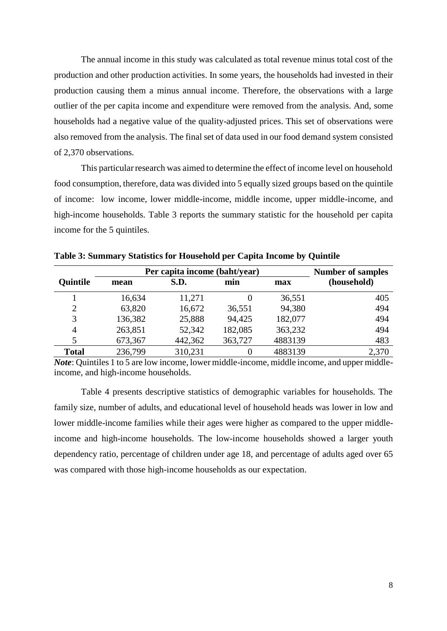The annual income in this study was calculated as total revenue minus total cost of the production and other production activities. In some years, the households had invested in their production causing them a minus annual income. Therefore, the observations with a large outlier of the per capita income and expenditure were removed from the analysis. And, some households had a negative value of the quality-adjusted prices. This set of observations were also removed from the analysis. The final set of data used in our food demand system consisted of 2,370 observations.

This particular research was aimed to determine the effect of income level on household food consumption, therefore, data was divided into 5 equally sized groups based on the quintile of income: low income, lower middle-income, middle income, upper middle-income, and high-income households. Table 3 reports the summary statistic for the household per capita income for the 5 quintiles.

|                 | Per capita income (baht/year) | <b>Number of samples</b> |         |         |             |
|-----------------|-------------------------------|--------------------------|---------|---------|-------------|
| <b>Quintile</b> | mean                          | S.D.                     | min     | max     | (household) |
|                 | 16,634                        | 11,271                   |         | 36,551  | 405         |
| $\overline{2}$  | 63,820                        | 16,672                   | 36,551  | 94,380  | 494         |
| 3               | 136,382                       | 25,888                   | 94,425  | 182,077 | 494         |
| 4               | 263,851                       | 52,342                   | 182,085 | 363,232 | 494         |
| 5               | 673,367                       | 442,362                  | 363,727 | 4883139 | 483         |
| <b>Total</b>    | 236,799                       | 310,231                  |         | 4883139 | 2,370       |

**Table 3: Summary Statistics for Household per Capita Income by Quintile**

*Note*: Quintiles 1 to 5 are low income, lower middle-income, middle income, and upper middleincome, and high-income households.

Table 4 presents descriptive statistics of demographic variables for households. The family size, number of adults, and educational level of household heads was lower in low and lower middle-income families while their ages were higher as compared to the upper middleincome and high-income households. The low-income households showed a larger youth dependency ratio, percentage of children under age 18, and percentage of adults aged over 65 was compared with those high-income households as our expectation.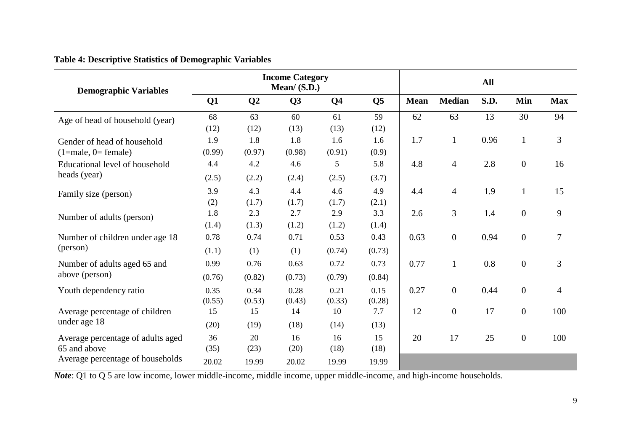| <b>Demographic Variables</b>      | <b>Income Category</b><br>Mean/ $(S.D.)$ |        |                |                |                |             | <b>All</b>       |      |                  |                |  |
|-----------------------------------|------------------------------------------|--------|----------------|----------------|----------------|-------------|------------------|------|------------------|----------------|--|
|                                   | Q1                                       | Q2     | Q <sub>3</sub> | Q <sub>4</sub> | Q <sub>5</sub> | <b>Mean</b> | <b>Median</b>    | S.D. | Min              | <b>Max</b>     |  |
| Age of head of household (year)   | 68                                       | 63     | 60             | 61             | 59             | 62          | 63               | 13   | 30               | 94             |  |
|                                   | (12)                                     | (12)   | (13)           | (13)           | (12)           |             |                  |      |                  |                |  |
| Gender of head of household       | 1.9                                      | 1.8    | 1.8            | 1.6            | 1.6            | 1.7         | $\mathbf{1}$     | 0.96 | $\mathbf{1}$     | 3              |  |
| $(1 = male, 0 = female)$          | (0.99)                                   | (0.97) | (0.98)         | (0.91)         | (0.9)          |             |                  |      |                  |                |  |
| Educational level of household    | 4.4                                      | 4.2    | 4.6            | 5              | 5.8            | 4.8         | $\overline{4}$   | 2.8  | $\boldsymbol{0}$ | 16             |  |
| heads (year)                      | (2.5)                                    | (2.2)  | (2.4)          | (2.5)          | (3.7)          |             |                  |      |                  |                |  |
| Family size (person)              | 3.9                                      | 4.3    | 4.4            | 4.6            | 4.9            | 4.4         | $\overline{4}$   | 1.9  | $\mathbf{1}$     | 15             |  |
|                                   | (2)                                      | (1.7)  | (1.7)          | (1.7)          | (2.1)          |             |                  |      |                  |                |  |
| Number of adults (person)         | 1.8                                      | 2.3    | 2.7            | 2.9            | 3.3            | 2.6         | 3                | 1.4  | $\boldsymbol{0}$ | 9              |  |
|                                   | (1.4)                                    | (1.3)  | (1.2)          | (1.2)          | (1.4)          |             |                  |      |                  |                |  |
| Number of children under age 18   | 0.78                                     | 0.74   | 0.71           | 0.53           | 0.43           | 0.63        | $\boldsymbol{0}$ | 0.94 | $\boldsymbol{0}$ | $\overline{7}$ |  |
| (person)                          | (1.1)                                    | (1)    | (1)            | (0.74)         | (0.73)         |             |                  |      |                  |                |  |
| Number of adults aged 65 and      | 0.99                                     | 0.76   | 0.63           | 0.72           | 0.73           | 0.77        | $\mathbf{1}$     | 0.8  | $\boldsymbol{0}$ | 3              |  |
| above (person)                    | (0.76)                                   | (0.82) | (0.73)         | (0.79)         | (0.84)         |             |                  |      |                  |                |  |
| Youth dependency ratio            | 0.35                                     | 0.34   | 0.28           | 0.21           | 0.15           | 0.27        | $\boldsymbol{0}$ | 0.44 | $\boldsymbol{0}$ | $\overline{4}$ |  |
|                                   | (0.55)                                   | (0.53) | (0.43)         | (0.33)         | (0.28)         |             |                  |      |                  |                |  |
| Average percentage of children    | 15                                       | 15     | 14             | 10             | 7.7            | 12          | $\boldsymbol{0}$ | 17   | $\overline{0}$   | 100            |  |
| under age 18                      | (20)                                     | (19)   | (18)           | (14)           | (13)           |             |                  |      |                  |                |  |
| Average percentage of adults aged | 36                                       | 20     | 16             | 16             | 15             | 20          | 17               | 25   | $\boldsymbol{0}$ | 100            |  |
| 65 and above                      | (35)                                     | (23)   | (20)           | (18)           | (18)           |             |                  |      |                  |                |  |
| Average percentage of households  | 20.02                                    | 19.99  | 20.02          | 19.99          | 19.99          |             |                  |      |                  |                |  |

*Note*: Q1 to Q 5 are low income, lower middle-income, middle income, upper middle-income, and high-income households.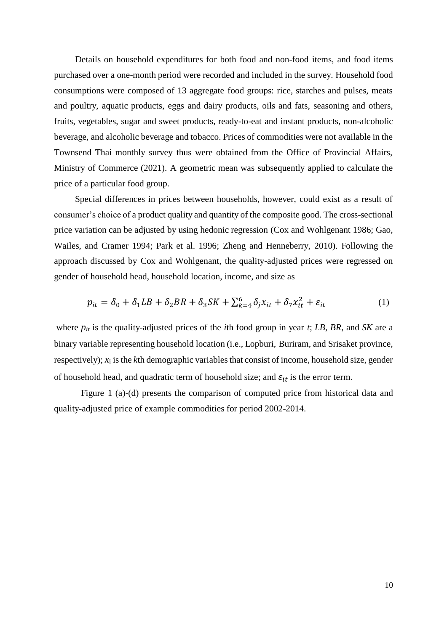Details on household expenditures for both food and non-food items, and food items purchased over a one-month period were recorded and included in the survey. Household food consumptions were composed of 13 aggregate food groups: rice, starches and pulses, meats and poultry, aquatic products, eggs and dairy products, oils and fats, seasoning and others, fruits, vegetables, sugar and sweet products, ready-to-eat and instant products, non-alcoholic beverage, and alcoholic beverage and tobacco. Prices of commodities were not available in the Townsend Thai monthly survey thus were obtained from the Office of Provincial Affairs, Ministry of Commerce (2021). A geometric mean was subsequently applied to calculate the price of a particular food group.

Special differences in prices between households, however, could exist as a result of consumer's choice of a product quality and quantity of the composite good. The cross-sectional price variation can be adjusted by using hedonic regression (Cox and Wohlgenant 1986; Gao, Wailes, and Cramer 1994; Park et al. 1996; Zheng and Henneberry, 2010). Following the approach discussed by Cox and Wohlgenant, the quality-adjusted prices were regressed on gender of household head, household location, income, and size as

$$
p_{it} = \delta_0 + \delta_1 L B + \delta_2 BR + \delta_3 SK + \sum_{k=4}^{6} \delta_j x_{it} + \delta_7 x_{it}^2 + \varepsilon_{it}
$$
 (1)

where *pit* is the quality-adjusted prices of the *i*th food group in year *t*; *LB*, *BR*, and *SK* are a binary variable representing household location (i.e., Lopburi, Buriram, and Srisaket province, respectively); *x*<sup>i</sup> is the *k*th demographic variables that consist of income, household size, gender of household head, and quadratic term of household size; and  $\varepsilon_{it}$  is the error term.

Figure 1 (a)-(d) presents the comparison of computed price from historical data and quality-adjusted price of example commodities for period 2002-2014.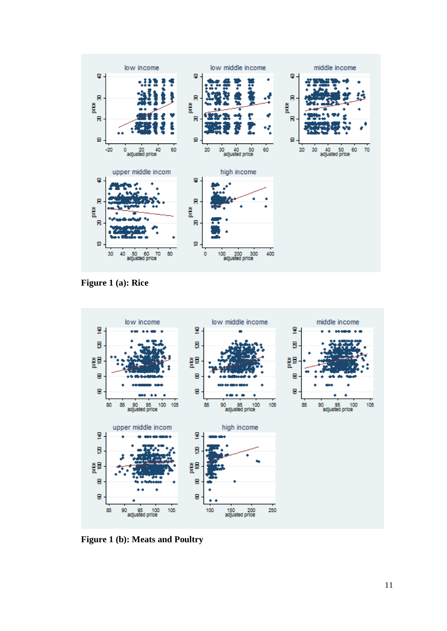

**Figure 1 (a): Rice**



**Figure 1 (b): Meats and Poultry**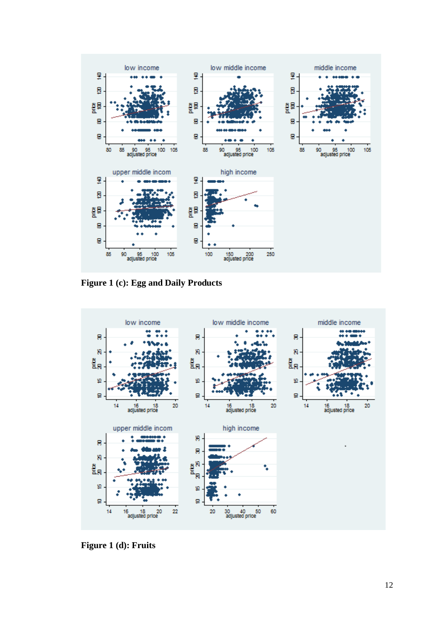

**Figure 1 (c): Egg and Daily Products**



**Figure 1 (d): Fruits**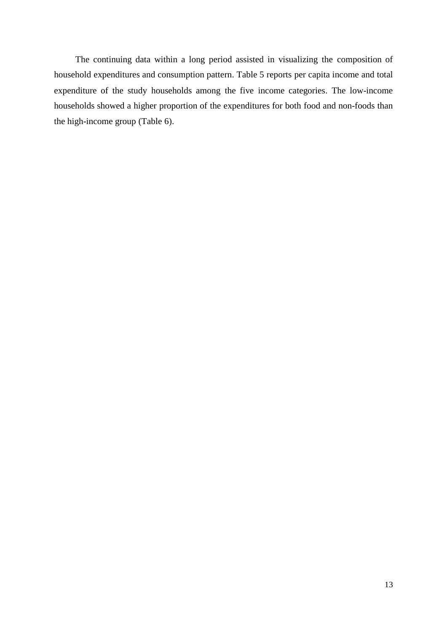The continuing data within a long period assisted in visualizing the composition of household expenditures and consumption pattern. Table 5 reports per capita income and total expenditure of the study households among the five income categories. The low-income households showed a higher proportion of the expenditures for both food and non-foods than the high-income group (Table 6).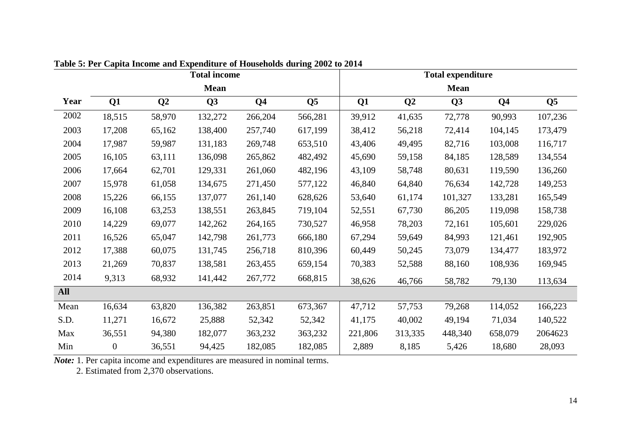| <b>Total income</b> |                  |                |                |                |                |         | <b>Total expenditure</b> |             |                |                |  |  |
|---------------------|------------------|----------------|----------------|----------------|----------------|---------|--------------------------|-------------|----------------|----------------|--|--|
|                     |                  |                | <b>Mean</b>    |                |                |         |                          | <b>Mean</b> |                |                |  |  |
| Year                | Q1               | Q <sub>2</sub> | Q <sub>3</sub> | Q <sub>4</sub> | Q <sub>5</sub> | Q1      | Q <sub>2</sub>           | Q3          | Q <sub>4</sub> | Q <sub>5</sub> |  |  |
| 2002                | 18,515           | 58,970         | 132,272        | 266,204        | 566,281        | 39,912  | 41,635                   | 72,778      | 90,993         | 107,236        |  |  |
| 2003                | 17,208           | 65,162         | 138,400        | 257,740        | 617,199        | 38,412  | 56,218                   | 72,414      | 104,145        | 173,479        |  |  |
| 2004                | 17,987           | 59,987         | 131,183        | 269,748        | 653,510        | 43,406  | 49,495                   | 82,716      | 103,008        | 116,717        |  |  |
| 2005                | 16,105           | 63,111         | 136,098        | 265,862        | 482,492        | 45,690  | 59,158                   | 84,185      | 128,589        | 134,554        |  |  |
| 2006                | 17,664           | 62,701         | 129,331        | 261,060        | 482,196        | 43,109  | 58,748                   | 80,631      | 119,590        | 136,260        |  |  |
| 2007                | 15,978           | 61,058         | 134,675        | 271,450        | 577,122        | 46,840  | 64,840                   | 76,634      | 142,728        | 149,253        |  |  |
| 2008                | 15,226           | 66,155         | 137,077        | 261,140        | 628,626        | 53,640  | 61,174                   | 101,327     | 133,281        | 165,549        |  |  |
| 2009                | 16,108           | 63,253         | 138,551        | 263,845        | 719,104        | 52,551  | 67,730                   | 86,205      | 119,098        | 158,738        |  |  |
| 2010                | 14,229           | 69,077         | 142,262        | 264,165        | 730,527        | 46,958  | 78,203                   | 72,161      | 105,601        | 229,026        |  |  |
| 2011                | 16,526           | 65,047         | 142,798        | 261,773        | 666,180        | 67,294  | 59,649                   | 84,993      | 121,461        | 192,905        |  |  |
| 2012                | 17,388           | 60,075         | 131,745        | 256,718        | 810,396        | 60,449  | 50,245                   | 73,079      | 134,477        | 183,972        |  |  |
| 2013                | 21,269           | 70,837         | 138,581        | 263,455        | 659,154        | 70,383  | 52,588                   | 88,160      | 108,936        | 169,945        |  |  |
| 2014                | 9,313            | 68,932         | 141,442        | 267,772        | 668,815        | 38,626  | 46,766                   | 58,782      | 79,130         | 113,634        |  |  |
| <b>All</b>          |                  |                |                |                |                |         |                          |             |                |                |  |  |
| Mean                | 16,634           | 63,820         | 136,382        | 263,851        | 673,367        | 47,712  | 57,753                   | 79,268      | 114,052        | 166,223        |  |  |
| S.D.                | 11,271           | 16,672         | 25,888         | 52,342         | 52,342         | 41,175  | 40,002                   | 49,194      | 71,034         | 140,522        |  |  |
| Max                 | 36,551           | 94,380         | 182,077        | 363,232        | 363,232        | 221,806 | 313,335                  | 448,340     | 658,079        | 2064623        |  |  |
| Min                 | $\boldsymbol{0}$ | 36,551         | 94,425         | 182,085        | 182,085        | 2,889   | 8,185                    | 5,426       | 18,680         | 28,093         |  |  |

**Table 5: Per Capita Income and Expenditure of Households during 2002 to 2014** 

*Note:* 1. Per capita income and expenditures are measured in nominal terms.

2. Estimated from 2,370 observations.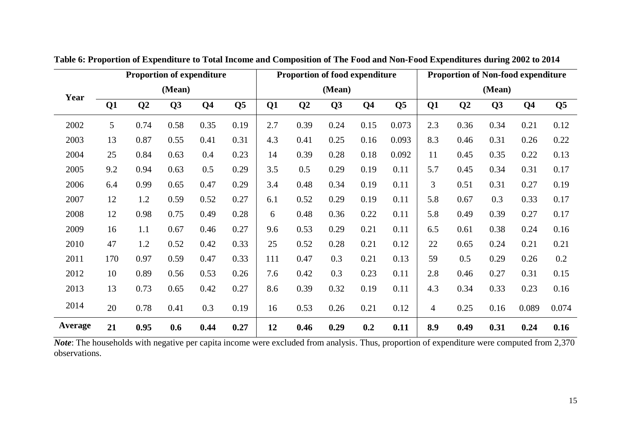|                | Proportion of expenditure |      |      |                |                |     | Proportion of food expenditure |      |                | <b>Proportion of Non-food expenditure</b> |                |                |      |                |                |
|----------------|---------------------------|------|------|----------------|----------------|-----|--------------------------------|------|----------------|-------------------------------------------|----------------|----------------|------|----------------|----------------|
| Year           | (Mean)                    |      |      |                |                |     | (Mean)                         |      |                |                                           | (Mean)         |                |      |                |                |
|                | Q <sub>1</sub>            | Q2   | Q3   | Q <sub>4</sub> | Q <sub>5</sub> | Q1  | Q <sub>2</sub>                 | Q3   | Q <sub>4</sub> | Q <sub>5</sub>                            | Q1             | Q <sub>2</sub> | Q3   | Q <sub>4</sub> | Q <sub>5</sub> |
| 2002           | 5                         | 0.74 | 0.58 | 0.35           | 0.19           | 2.7 | 0.39                           | 0.24 | 0.15           | 0.073                                     | 2.3            | 0.36           | 0.34 | 0.21           | 0.12           |
| 2003           | 13                        | 0.87 | 0.55 | 0.41           | 0.31           | 4.3 | 0.41                           | 0.25 | 0.16           | 0.093                                     | 8.3            | 0.46           | 0.31 | 0.26           | 0.22           |
| 2004           | 25                        | 0.84 | 0.63 | 0.4            | 0.23           | 14  | 0.39                           | 0.28 | 0.18           | 0.092                                     | 11             | 0.45           | 0.35 | 0.22           | 0.13           |
| 2005           | 9.2                       | 0.94 | 0.63 | 0.5            | 0.29           | 3.5 | 0.5                            | 0.29 | 0.19           | 0.11                                      | 5.7            | 0.45           | 0.34 | 0.31           | 0.17           |
| 2006           | 6.4                       | 0.99 | 0.65 | 0.47           | 0.29           | 3.4 | 0.48                           | 0.34 | 0.19           | 0.11                                      | 3              | 0.51           | 0.31 | 0.27           | 0.19           |
| 2007           | 12                        | 1.2  | 0.59 | 0.52           | 0.27           | 6.1 | 0.52                           | 0.29 | 0.19           | 0.11                                      | 5.8            | 0.67           | 0.3  | 0.33           | 0.17           |
| 2008           | 12                        | 0.98 | 0.75 | 0.49           | 0.28           | 6   | 0.48                           | 0.36 | 0.22           | 0.11                                      | 5.8            | 0.49           | 0.39 | 0.27           | 0.17           |
| 2009           | 16                        | 1.1  | 0.67 | 0.46           | 0.27           | 9.6 | 0.53                           | 0.29 | 0.21           | 0.11                                      | 6.5            | 0.61           | 0.38 | 0.24           | 0.16           |
| 2010           | 47                        | 1.2  | 0.52 | 0.42           | 0.33           | 25  | 0.52                           | 0.28 | 0.21           | 0.12                                      | 22             | 0.65           | 0.24 | 0.21           | 0.21           |
| 2011           | 170                       | 0.97 | 0.59 | 0.47           | 0.33           | 111 | 0.47                           | 0.3  | 0.21           | 0.13                                      | 59             | 0.5            | 0.29 | 0.26           | 0.2            |
| 2012           | 10                        | 0.89 | 0.56 | 0.53           | 0.26           | 7.6 | 0.42                           | 0.3  | 0.23           | 0.11                                      | 2.8            | 0.46           | 0.27 | 0.31           | 0.15           |
| 2013           | 13                        | 0.73 | 0.65 | 0.42           | 0.27           | 8.6 | 0.39                           | 0.32 | 0.19           | 0.11                                      | 4.3            | 0.34           | 0.33 | 0.23           | 0.16           |
| 2014           | 20                        | 0.78 | 0.41 | 0.3            | 0.19           | 16  | 0.53                           | 0.26 | 0.21           | 0.12                                      | $\overline{4}$ | 0.25           | 0.16 | 0.089          | 0.074          |
| <b>Average</b> | 21                        | 0.95 | 0.6  | 0.44           | 0.27           | 12  | 0.46                           | 0.29 | 0.2            | 0.11                                      | 8.9            | 0.49           | 0.31 | 0.24           | 0.16           |

**Table 6: Proportion of Expenditure to Total Income and Composition of The Food and Non-Food Expenditures during 2002 to 2014**

*Note*: The households with negative per capita income were excluded from analysis. Thus, proportion of expenditure were computed from 2,370 observations.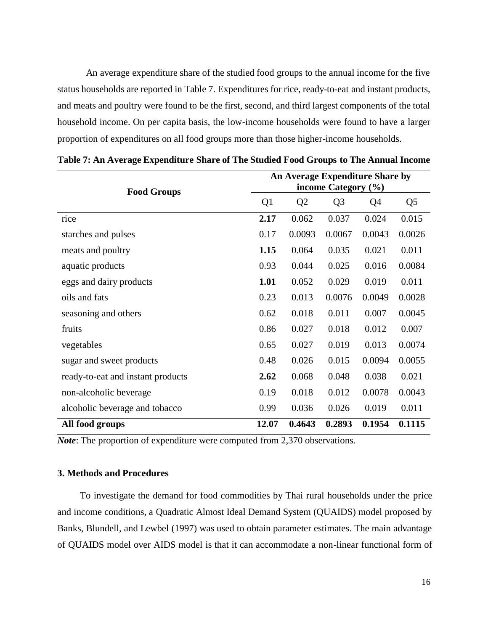An average expenditure share of the studied food groups to the annual income for the five status households are reported in Table 7. Expenditures for rice, ready-to-eat and instant products, and meats and poultry were found to be the first, second, and third largest components of the total household income. On per capita basis, the low-income households were found to have a larger proportion of expenditures on all food groups more than those higher-income households.

|                                   | An Average Expenditure Share by |                |                |        |                |  |  |  |
|-----------------------------------|---------------------------------|----------------|----------------|--------|----------------|--|--|--|
| <b>Food Groups</b>                | income Category $(\% )$         |                |                |        |                |  |  |  |
|                                   | Q1                              | Q <sub>2</sub> | Q <sub>3</sub> | Q4     | Q <sub>5</sub> |  |  |  |
| rice                              | 2.17                            | 0.062          | 0.037          | 0.024  | 0.015          |  |  |  |
| starches and pulses               | 0.17                            | 0.0093         | 0.0067         | 0.0043 | 0.0026         |  |  |  |
| meats and poultry                 | 1.15                            | 0.064          | 0.035          | 0.021  | 0.011          |  |  |  |
| aquatic products                  | 0.93                            | 0.044          | 0.025          | 0.016  | 0.0084         |  |  |  |
| eggs and dairy products           | 1.01                            | 0.052          | 0.029          | 0.019  | 0.011          |  |  |  |
| oils and fats                     | 0.23                            | 0.013          | 0.0076         | 0.0049 | 0.0028         |  |  |  |
| seasoning and others              | 0.62                            | 0.018          | 0.011          | 0.007  | 0.0045         |  |  |  |
| fruits                            | 0.86                            | 0.027          | 0.018          | 0.012  | 0.007          |  |  |  |
| vegetables                        | 0.65                            | 0.027          | 0.019          | 0.013  | 0.0074         |  |  |  |
| sugar and sweet products          | 0.48                            | 0.026          | 0.015          | 0.0094 | 0.0055         |  |  |  |
| ready-to-eat and instant products | 2.62                            | 0.068          | 0.048          | 0.038  | 0.021          |  |  |  |
| non-alcoholic beverage            | 0.19                            | 0.018          | 0.012          | 0.0078 | 0.0043         |  |  |  |
| alcoholic beverage and tobacco    | 0.99                            | 0.036          | 0.026          | 0.019  | 0.011          |  |  |  |
| All food groups                   | 12.07                           | 0.4643         | 0.2893         | 0.1954 | 0.1115         |  |  |  |

**Table 7: An Average Expenditure Share of The Studied Food Groups to The Annual Income**

*Note*: The proportion of expenditure were computed from 2,370 observations.

### **3. Methods and Procedures**

To investigate the demand for food commodities by Thai rural households under the price and income conditions, a Quadratic Almost Ideal Demand System (QUAIDS) model proposed by Banks, Blundell, and Lewbel (1997) was used to obtain parameter estimates. The main advantage of QUAIDS model over AIDS model is that it can accommodate a non-linear functional form of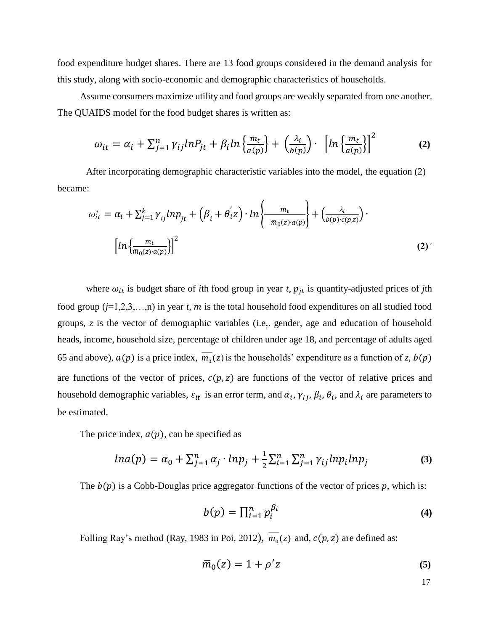food expenditure budget shares. There are 13 food groups considered in the demand analysis for this study, along with socio-economic and demographic characteristics of households.

Assume consumers maximize utility and food groups are weakly separated from one another. The QUAIDS model for the food budget shares is written as:

$$
\omega_{it} = \alpha_i + \sum_{j=1}^n \gamma_{ij} ln P_{jt} + \beta_i ln \left\{ \frac{m_t}{a(p)} \right\} + \left( \frac{\lambda_i}{b(p)} \right) \cdot \left[ ln \left\{ \frac{m_t}{a(p)} \right\} \right]^2 \tag{2}
$$

After incorporating demographic characteristic variables into the model, the equation (2) became:

$$
\omega_{it}^{*} = \alpha_{i} + \sum_{j=1}^{k} \gamma_{ij} l n p_{jt} + (\beta_{i} + \theta_{i}^{'} z) \cdot ln \left\{ \frac{m_{t}}{\bar{m}_{0}(z) \cdot a(p)} \right\} + \left( \frac{\lambda_{i}}{b(p) \cdot c(p, z)} \right) \cdot \left[ ln \left\{ \frac{m_{t}}{\bar{m}_{0}(z) \cdot a(p)} \right\} \right]^{2}
$$
\n(2)

where  $\omega_{it}$  is budget share of *i*th food group in year *t*,  $p_{it}$  is quantity-adjusted prices of *j*th food group  $(j=1,2,3,...,n)$  in year *t*, *m* is the total household food expenditures on all studied food groups, *z* is the vector of demographic variables (i.e,. gender, age and education of household heads, income, household size, percentage of children under age 18, and percentage of adults aged 65 and above),  $a(p)$  is a price index,  $m_0(z)$  is the households' expenditure as a function of *z*,  $b(p)$ are functions of the vector of prices,  $c(p, z)$  are functions of the vector of relative prices and household demographic variables,  $\varepsilon_{it}$  is an error term, and  $\alpha_i$ ,  $\gamma_{lj}$ ,  $\beta_i$ ,  $\theta_i$ , and  $\lambda_i$  are parameters to be estimated.

The price index,  $a(p)$ , can be specified as

$$
ln a(p) = \alpha_0 + \sum_{j=1}^n \alpha_j \cdot lnp_j + \frac{1}{2} \sum_{i=1}^n \sum_{j=1}^n \gamma_{ij} ln p_i lnp_j \tag{3}
$$

The  $b(p)$  is a Cobb-Douglas price aggregator functions of the vector of prices p, which is:

$$
b(p) = \prod_{i=1}^{n} p_i^{\beta_i}
$$
 (4)

Folling Ray's method (Ray, 1983 in Poi, 2012),  $\overline{m_0}(z)$  and,  $c(p, z)$  are defined as:

$$
\overline{m}_0(z) = 1 + \rho' z \tag{5}
$$

17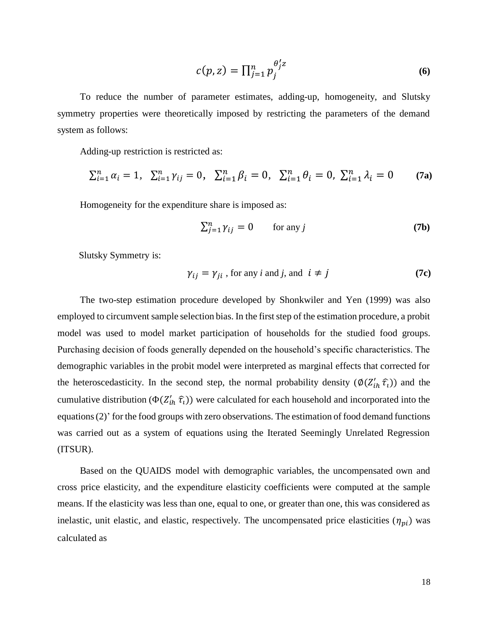$$
c(p, z) = \prod_{j=1}^{n} p_j^{\theta'_j z} \tag{6}
$$

To reduce the number of parameter estimates, adding-up, homogeneity, and Slutsky symmetry properties were theoretically imposed by restricting the parameters of the demand system as follows:

Adding-up restriction is restricted as:

$$
\sum_{i=1}^{n} \alpha_i = 1, \quad \sum_{i=1}^{n} \gamma_{ij} = 0, \quad \sum_{i=1}^{n} \beta_i = 0, \quad \sum_{i=1}^{n} \theta_i = 0, \quad \sum_{i=1}^{n} \lambda_i = 0 \tag{7a}
$$

Homogeneity for the expenditure share is imposed as:

$$
\sum_{j=1}^{n} \gamma_{ij} = 0 \qquad \text{for any } j \tag{7b}
$$

Slutsky Symmetry is:

$$
\gamma_{ij} = \gamma_{ji} \text{, for any } i \text{ and } j \text{, and } i \neq j \tag{7c}
$$

The two-step estimation procedure developed by Shonkwiler and Yen (1999) was also employed to circumvent sample selection bias. In the first step of the estimation procedure, a probit model was used to model market participation of households for the studied food groups. Purchasing decision of foods generally depended on the household's specific characteristics. The demographic variables in the probit model were interpreted as marginal effects that corrected for the heteroscedasticity. In the second step, the normal probability density  $(\phi(Z'_{ih} \hat{\tau}_i))$  and the cumulative distribution ( $\Phi(Z'_{ih} \hat{\tau}_l)$ ) were calculated for each household and incorporated into the equations (2)' for the food groups with zero observations. The estimation of food demand functions was carried out as a system of equations using the Iterated Seemingly Unrelated Regression (ITSUR).

Based on the QUAIDS model with demographic variables, the uncompensated own and cross price elasticity, and the expenditure elasticity coefficients were computed at the sample means. If the elasticity was less than one, equal to one, or greater than one, this was considered as inelastic, unit elastic, and elastic, respectively. The uncompensated price elasticities  $(\eta_{pi})$  was calculated as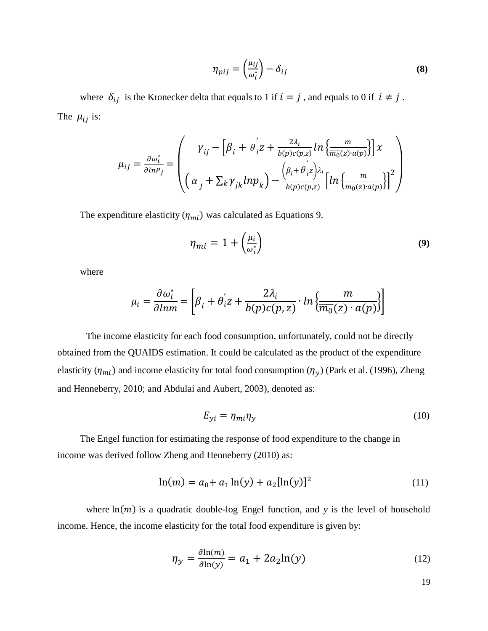$$
\eta_{pij} = \left(\frac{\mu_{ij}}{\omega_i^*}\right) - \delta_{ij} \tag{8}
$$

where  $\delta_{ij}$  is the Kronecker delta that equals to 1 if  $i = j$ , and equals to 0 if  $i \neq j$ . The  $\mu_{ij}$  is:

$$
\mu_{ij} = \frac{\partial \omega_i^*}{\partial \ln P_j} = \begin{pmatrix} \gamma_{ij} - \left[\beta_i + \theta_i' z + \frac{2\lambda_i}{b(p)c(p,z)} \ln \left\{ \frac{m}{m_0(z) \cdot a(p)} \right\} \right] x \\ \left( \alpha_j + \sum_k \gamma_{jk} \ln p_k \right) - \frac{\left( \beta_i + \theta_i' z \right) \lambda_i}{b(p)c(p,z)} \left[ \ln \left\{ \frac{m}{m_0(z) \cdot a(p)} \right\} \right]^2 \end{pmatrix}
$$

The expenditure elasticity  $(\eta_{mi})$  was calculated as Equations 9.

$$
\eta_{mi} = 1 + \left(\frac{\mu_i}{\omega_i^*}\right) \tag{9}
$$

where

$$
\mu_i = \frac{\partial \omega_i^*}{\partial lnm} = \left[ \beta_i + \theta_i' z + \frac{2\lambda_i}{b(p)c(p, z)} \cdot \ln \left\{ \frac{m}{\overline{m_0}(z) \cdot a(p)} \right\} \right]
$$

The income elasticity for each food consumption, unfortunately, could not be directly obtained from the QUAIDS estimation. It could be calculated as the product of the expenditure elasticity ( $\eta_{mi}$ ) and income elasticity for total food consumption ( $\eta_y$ ) (Park et al. (1996), Zheng and Henneberry, 2010; and Abdulai and Aubert, 2003), denoted as:

$$
E_{yi} = \eta_{mi}\eta_y \tag{10}
$$

The Engel function for estimating the response of food expenditure to the change in income was derived follow Zheng and Henneberry (2010) as:

$$
\ln(m) = a_0 + a_1 \ln(y) + a_2 [\ln(y)]^2 \tag{11}
$$

where  $ln(m)$  is a quadratic double-log Engel function, and *y* is the level of household income. Hence, the income elasticity for the total food expenditure is given by:

$$
\eta_{\mathcal{Y}} = \frac{\partial \ln(m)}{\partial \ln(\mathcal{Y})} = a_1 + 2a_2 \ln(\mathcal{Y})
$$
\n(12)

19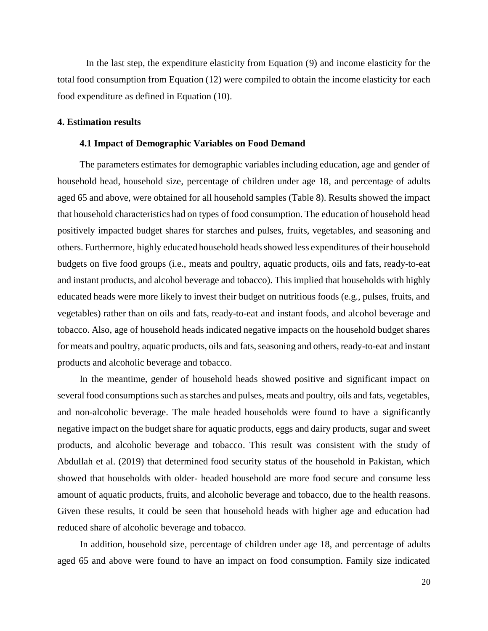In the last step, the expenditure elasticity from Equation (9) and income elasticity for the total food consumption from Equation (12) were compiled to obtain the income elasticity for each food expenditure as defined in Equation (10).

### **4. Estimation results**

#### **4.1 Impact of Demographic Variables on Food Demand**

The parameters estimates for demographic variables including education, age and gender of household head, household size, percentage of children under age 18, and percentage of adults aged 65 and above, were obtained for all household samples (Table 8). Results showed the impact that household characteristics had on types of food consumption. The education of household head positively impacted budget shares for starches and pulses, fruits, vegetables, and seasoning and others. Furthermore, highly educated household heads showed less expenditures of their household budgets on five food groups (i.e., meats and poultry, aquatic products, oils and fats, ready-to-eat and instant products, and alcohol beverage and tobacco). This implied that households with highly educated heads were more likely to invest their budget on nutritious foods (e.g., pulses, fruits, and vegetables) rather than on oils and fats, ready-to-eat and instant foods, and alcohol beverage and tobacco. Also, age of household heads indicated negative impacts on the household budget shares for meats and poultry, aquatic products, oils and fats, seasoning and others, ready-to-eat and instant products and alcoholic beverage and tobacco.

In the meantime, gender of household heads showed positive and significant impact on several food consumptions such as starches and pulses, meats and poultry, oils and fats, vegetables, and non-alcoholic beverage. The male headed households were found to have a significantly negative impact on the budget share for aquatic products, eggs and dairy products, sugar and sweet products, and alcoholic beverage and tobacco. This result was consistent with the study of Abdullah et al. (2019) that determined food security status of the household in Pakistan, which showed that households with older- headed household are more food secure and consume less amount of aquatic products, fruits, and alcoholic beverage and tobacco, due to the health reasons. Given these results, it could be seen that household heads with higher age and education had reduced share of alcoholic beverage and tobacco.

In addition, household size, percentage of children under age 18, and percentage of adults aged 65 and above were found to have an impact on food consumption. Family size indicated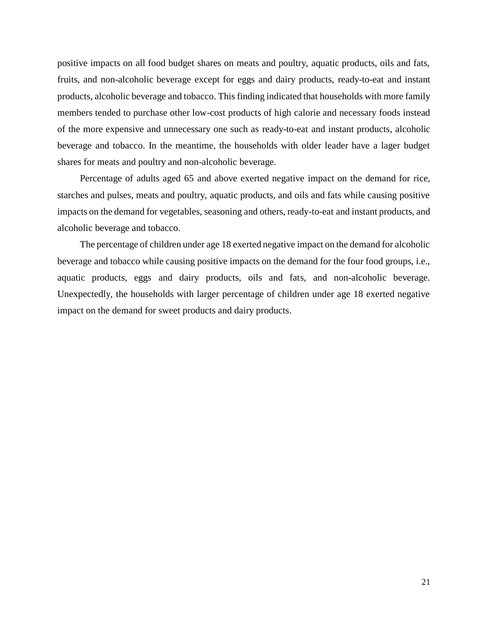positive impacts on all food budget shares on meats and poultry, aquatic products, oils and fats, fruits, and non-alcoholic beverage except for eggs and dairy products, ready-to-eat and instant products, alcoholic beverage and tobacco. This finding indicated that households with more family members tended to purchase other low-cost products of high calorie and necessary foods instead of the more expensive and unnecessary one such as ready-to-eat and instant products, alcoholic beverage and tobacco. In the meantime, the households with older leader have a lager budget shares for meats and poultry and non-alcoholic beverage.

Percentage of adults aged 65 and above exerted negative impact on the demand for rice, starches and pulses, meats and poultry, aquatic products, and oils and fats while causing positive impacts on the demand for vegetables, seasoning and others, ready-to-eat and instant products, and alcoholic beverage and tobacco.

The percentage of children under age 18 exerted negative impact on the demand for alcoholic beverage and tobacco while causing positive impacts on the demand for the four food groups, i.e., aquatic products, eggs and dairy products, oils and fats, and non-alcoholic beverage. Unexpectedly, the households with larger percentage of children under age 18 exerted negative impact on the demand for sweet products and dairy products.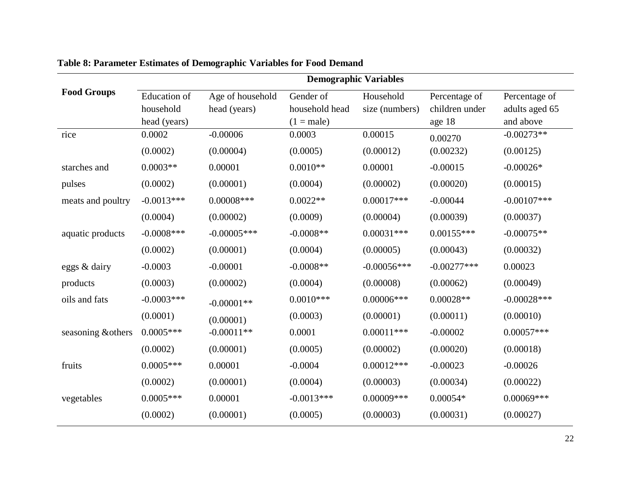|                    | <b>Demographic Variables</b> |                  |                |                |                |                |  |  |  |
|--------------------|------------------------------|------------------|----------------|----------------|----------------|----------------|--|--|--|
| <b>Food Groups</b> | <b>Education</b> of          | Age of household | Gender of      | Household      | Percentage of  | Percentage of  |  |  |  |
|                    | household                    | head (years)     | household head | size (numbers) | children under | adults aged 65 |  |  |  |
|                    | head (years)                 |                  | $(1 = male)$   |                | age 18         | and above      |  |  |  |
| rice               | 0.0002                       | $-0.00006$       | 0.0003         | 0.00015        | 0.00270        | $-0.00273**$   |  |  |  |
|                    | (0.0002)                     | (0.00004)        | (0.0005)       | (0.00012)      | (0.00232)      | (0.00125)      |  |  |  |
| starches and       | $0.0003**$                   | 0.00001          | $0.0010**$     | 0.00001        | $-0.00015$     | $-0.00026*$    |  |  |  |
| pulses             | (0.0002)                     | (0.00001)        | (0.0004)       | (0.00002)      | (0.00020)      | (0.00015)      |  |  |  |
| meats and poultry  | $-0.0013***$                 | $0.00008$ ***    | $0.0022**$     | $0.00017***$   | $-0.00044$     | $-0.00107$ *** |  |  |  |
|                    | (0.0004)                     | (0.00002)        | (0.0009)       | (0.00004)      | (0.00039)      | (0.00037)      |  |  |  |
| aquatic products   | $-0.0008$ ***                | $-0.00005$ ***   | $-0.0008**$    | $0.00031***$   | $0.00155***$   | $-0.00075**$   |  |  |  |
|                    | (0.0002)                     | (0.00001)        | (0.0004)       | (0.00005)      | (0.00043)      | (0.00032)      |  |  |  |
| eggs & dairy       | $-0.0003$                    | $-0.00001$       | $-0.0008**$    | $-0.00056$ *** | $-0.00277***$  | 0.00023        |  |  |  |
| products           | (0.0003)                     | (0.00002)        | (0.0004)       | (0.00008)      | (0.00062)      | (0.00049)      |  |  |  |
| oils and fats      | $-0.0003$ ***                | $-0.00001**$     | $0.0010***$    | $0.00006$ ***  | $0.00028**$    | $-0.00028$ *** |  |  |  |
|                    | (0.0001)                     | (0.00001)        | (0.0003)       | (0.00001)      | (0.00011)      | (0.00010)      |  |  |  |
| seasoning & others | $0.0005***$                  | $-0.00011**$     | 0.0001         | $0.00011***$   | $-0.00002$     | $0.00057***$   |  |  |  |
|                    | (0.0002)                     | (0.00001)        | (0.0005)       | (0.00002)      | (0.00020)      | (0.00018)      |  |  |  |
| fruits             | $0.0005***$                  | 0.00001          | $-0.0004$      | $0.00012***$   | $-0.00023$     | $-0.00026$     |  |  |  |
|                    | (0.0002)                     | (0.00001)        | (0.0004)       | (0.00003)      | (0.00034)      | (0.00022)      |  |  |  |
| vegetables         | $0.0005***$                  | 0.00001          | $-0.0013***$   | $0.00009$ ***  | $0.00054*$     | $0.00069***$   |  |  |  |
|                    | (0.0002)                     | (0.00001)        | (0.0005)       | (0.00003)      | (0.00031)      | (0.00027)      |  |  |  |

# **Table 8: Parameter Estimates of Demographic Variables for Food Demand**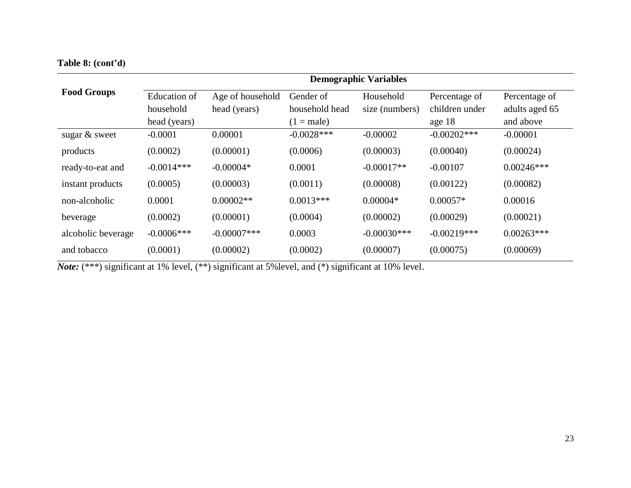**Table 8: (cont'd)**

|                    | <b>Demographic Variables</b> |                  |                |                |                |                |  |  |
|--------------------|------------------------------|------------------|----------------|----------------|----------------|----------------|--|--|
| <b>Food Groups</b> | Education of                 | Age of household | Gender of      | Household      | Percentage of  | Percentage of  |  |  |
|                    | household                    | head (years)     | household head | size (numbers) | children under | adults aged 65 |  |  |
|                    | head (years)                 |                  | $(1 = male)$   |                | age 18         | and above      |  |  |
| sugar $&$ sweet    | $-0.0001$                    | 0.00001          | $-0.0028$ ***  | $-0.00002$     | $-0.00202$ *** | $-0.00001$     |  |  |
| products           | (0.0002)                     | (0.00001)        | (0.0006)       | (0.00003)      | (0.00040)      | (0.00024)      |  |  |
| ready-to-eat and   | $-0.0014***$                 | $-0.00004*$      | 0.0001         | $-0.00017**$   | $-0.00107$     | $0.00246***$   |  |  |
| instant products   | (0.0005)                     | (0.00003)        | (0.0011)       | (0.00008)      | (0.00122)      | (0.00082)      |  |  |
| non-alcoholic      | 0.0001                       | $0.00002**$      | $0.0013***$    | $0.00004*$     | $0.00057*$     | 0.00016        |  |  |
| beverage           | (0.0002)                     | (0.00001)        | (0.0004)       | (0.00002)      | (0.00029)      | (0.00021)      |  |  |
| alcoholic beverage | $-0.0006$ ***                | $-0.00007$ ***   | 0.0003         | $-0.00030***$  | $-0.00219***$  | $0.00263***$   |  |  |
| and tobacco        | (0.0001)                     | (0.00002)        | (0.0002)       | (0.00007)      | (0.00075)      | (0.00069)      |  |  |

*Note:* (\*\*\*) significant at 1% level, (\*\*) significant at 5%level, and (\*) significant at 10% level.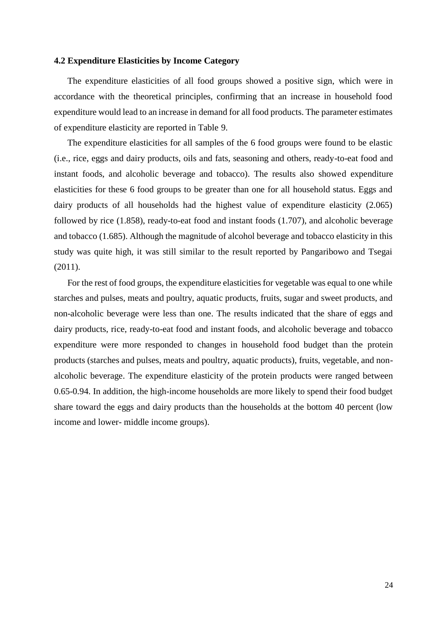### **4.2 Expenditure Elasticities by Income Category**

The expenditure elasticities of all food groups showed a positive sign, which were in accordance with the theoretical principles, confirming that an increase in household food expenditure would lead to an increase in demand for all food products. The parameter estimates of expenditure elasticity are reported in Table 9.

The expenditure elasticities for all samples of the 6 food groups were found to be elastic (i.e., rice, eggs and dairy products, oils and fats, seasoning and others, ready-to-eat food and instant foods, and alcoholic beverage and tobacco). The results also showed expenditure elasticities for these 6 food groups to be greater than one for all household status. Eggs and dairy products of all households had the highest value of expenditure elasticity (2.065) followed by rice (1.858), ready-to-eat food and instant foods (1.707), and alcoholic beverage and tobacco (1.685). Although the magnitude of alcohol beverage and tobacco elasticity in this study was quite high, it was still similar to the result reported by Pangaribowo and Tsegai (2011).

For the rest of food groups, the expenditure elasticities for vegetable was equal to one while starches and pulses, meats and poultry, aquatic products, fruits, sugar and sweet products, and non-alcoholic beverage were less than one. The results indicated that the share of eggs and dairy products, rice, ready-to-eat food and instant foods, and alcoholic beverage and tobacco expenditure were more responded to changes in household food budget than the protein products (starches and pulses, meats and poultry, aquatic products), fruits, vegetable, and nonalcoholic beverage. The expenditure elasticity of the protein products were ranged between 0.65-0.94. In addition, the high-income households are more likely to spend their food budget share toward the eggs and dairy products than the households at the bottom 40 percent (low income and lower- middle income groups).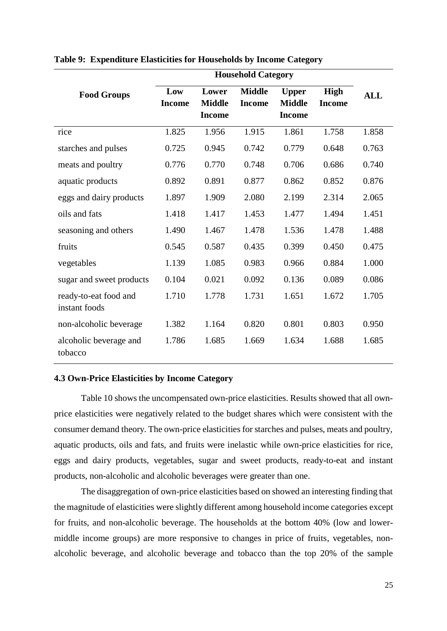|                                        | <b>Household Category</b> |                                         |                                |                                                |                              |            |  |
|----------------------------------------|---------------------------|-----------------------------------------|--------------------------------|------------------------------------------------|------------------------------|------------|--|
| <b>Food Groups</b>                     | Low<br><b>Income</b>      | Lower<br><b>Middle</b><br><b>Income</b> | <b>Middle</b><br><b>Income</b> | <b>Upper</b><br><b>Middle</b><br><b>Income</b> | <b>High</b><br><b>Income</b> | <b>ALL</b> |  |
| rice                                   | 1.825                     | 1.956                                   | 1.915                          | 1.861                                          | 1.758                        | 1.858      |  |
| starches and pulses                    | 0.725                     | 0.945                                   | 0.742                          | 0.779                                          | 0.648                        | 0.763      |  |
| meats and poultry                      | 0.776                     | 0.770                                   | 0.748                          | 0.706                                          | 0.686                        | 0.740      |  |
| aquatic products                       | 0.892                     | 0.891                                   | 0.877                          | 0.862                                          | 0.852                        | 0.876      |  |
| eggs and dairy products                | 1.897                     | 1.909                                   | 2.080                          | 2.199                                          | 2.314                        | 2.065      |  |
| oils and fats                          | 1.418                     | 1.417                                   | 1.453                          | 1.477                                          | 1.494                        | 1.451      |  |
| seasoning and others                   | 1.490                     | 1.467                                   | 1.478                          | 1.536                                          | 1.478                        | 1.488      |  |
| fruits                                 | 0.545                     | 0.587                                   | 0.435                          | 0.399                                          | 0.450                        | 0.475      |  |
| vegetables                             | 1.139                     | 1.085                                   | 0.983                          | 0.966                                          | 0.884                        | 1.000      |  |
| sugar and sweet products               | 0.104                     | 0.021                                   | 0.092                          | 0.136                                          | 0.089                        | 0.086      |  |
| ready-to-eat food and<br>instant foods | 1.710                     | 1.778                                   | 1.731                          | 1.651                                          | 1.672                        | 1.705      |  |
| non-alcoholic beverage                 | 1.382                     | 1.164                                   | 0.820                          | 0.801                                          | 0.803                        | 0.950      |  |
| alcoholic beverage and<br>tobacco      | 1.786                     | 1.685                                   | 1.669                          | 1.634                                          | 1.688                        | 1.685      |  |

**Table 9: Expenditure Elasticities for Households by Income Category**

### **4.3 Own-Price Elasticities by Income Category**

Table 10 shows the uncompensated own-price elasticities. Results showed that all ownprice elasticities were negatively related to the budget shares which were consistent with the consumer demand theory. The own-price elasticities for starches and pulses, meats and poultry, aquatic products, oils and fats, and fruits were inelastic while own-price elasticities for rice, eggs and dairy products, vegetables, sugar and sweet products, ready-to-eat and instant products, non-alcoholic and alcoholic beverages were greater than one.

The disaggregation of own-price elasticities based on showed an interesting finding that the magnitude of elasticities were slightly different among household income categories except for fruits, and non-alcoholic beverage. The households at the bottom 40% (low and lowermiddle income groups) are more responsive to changes in price of fruits, vegetables, nonalcoholic beverage, and alcoholic beverage and tobacco than the top 20% of the sample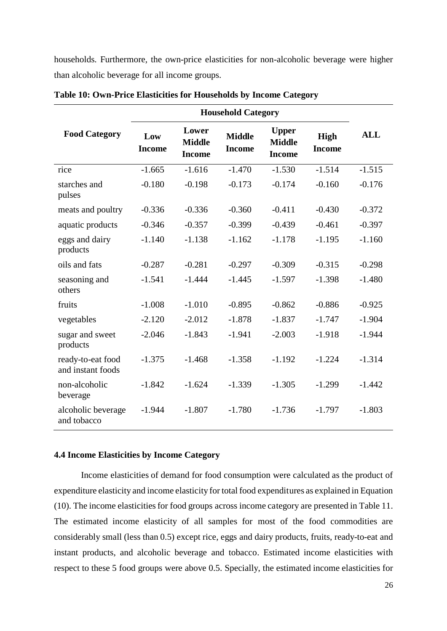households. Furthermore, the own-price elasticities for non-alcoholic beverage were higher than alcoholic beverage for all income groups.

| <b>Food Category</b>                   | Low<br><b>Income</b> | Lower<br><b>Middle</b><br><b>Income</b> | <b>Middle</b><br><b>Income</b> | <b>Upper</b><br><b>Middle</b><br><b>Income</b> | <b>High</b><br><b>Income</b> | <b>ALL</b> |
|----------------------------------------|----------------------|-----------------------------------------|--------------------------------|------------------------------------------------|------------------------------|------------|
| rice                                   | $-1.665$             | $-1.616$                                | $-1.470$                       | $-1.530$                                       | $-1.514$                     | $-1.515$   |
| starches and<br>pulses                 | $-0.180$             | $-0.198$                                | $-0.173$                       | $-0.174$                                       | $-0.160$                     | $-0.176$   |
| meats and poultry                      | $-0.336$             | $-0.336$                                | $-0.360$                       | $-0.411$                                       | $-0.430$                     | $-0.372$   |
| aquatic products                       | $-0.346$             | $-0.357$                                | $-0.399$                       | $-0.439$                                       | $-0.461$                     | $-0.397$   |
| eggs and dairy<br>products             | $-1.140$             | $-1.138$                                | $-1.162$                       | $-1.178$                                       | $-1.195$                     | $-1.160$   |
| oils and fats                          | $-0.287$             | $-0.281$                                | $-0.297$                       | $-0.309$                                       | $-0.315$                     | $-0.298$   |
| seasoning and<br>others                | $-1.541$             | $-1.444$                                | $-1.445$                       | $-1.597$                                       | $-1.398$                     | $-1.480$   |
| fruits                                 | $-1.008$             | $-1.010$                                | $-0.895$                       | $-0.862$                                       | $-0.886$                     | $-0.925$   |
| vegetables                             | $-2.120$             | $-2.012$                                | $-1.878$                       | $-1.837$                                       | $-1.747$                     | $-1.904$   |
| sugar and sweet<br>products            | $-2.046$             | $-1.843$                                | $-1.941$                       | $-2.003$                                       | $-1.918$                     | $-1.944$   |
| ready-to-eat food<br>and instant foods | $-1.375$             | $-1.468$                                | $-1.358$                       | $-1.192$                                       | $-1.224$                     | $-1.314$   |
| non-alcoholic<br>beverage              | $-1.842$             | $-1.624$                                | $-1.339$                       | $-1.305$                                       | $-1.299$                     | $-1.442$   |
| alcoholic beverage<br>and tobacco      | $-1.944$             | $-1.807$                                | $-1.780$                       | $-1.736$                                       | $-1.797$                     | $-1.803$   |

**Table 10: Own-Price Elasticities for Households by Income Category**

## **4.4 Income Elasticities by Income Category**

Income elasticities of demand for food consumption were calculated as the product of expenditure elasticity and income elasticity for total food expenditures as explained in Equation (10). The income elasticities for food groups across income category are presented in Table 11. The estimated income elasticity of all samples for most of the food commodities are considerably small (less than 0.5) except rice, eggs and dairy products, fruits, ready-to-eat and instant products, and alcoholic beverage and tobacco. Estimated income elasticities with respect to these 5 food groups were above 0.5. Specially, the estimated income elasticities for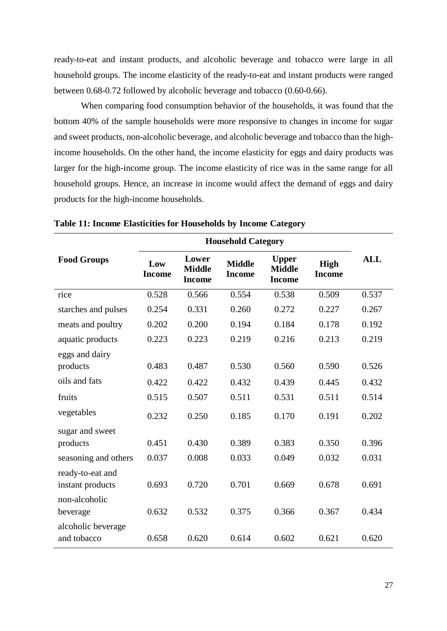ready-to-eat and instant products, and alcoholic beverage and tobacco were large in all household groups. The income elasticity of the ready-to-eat and instant products were ranged between 0.68-0.72 followed by alcoholic beverage and tobacco (0.60-0.66).

When comparing food consumption behavior of the households, it was found that the bottom 40% of the sample households were more responsive to changes in income for sugar and sweet products, non-alcoholic beverage, and alcoholic beverage and tobacco than the highincome households. On the other hand, the income elasticity for eggs and dairy products was larger for the high-income group. The income elasticity of rice was in the same range for all household groups. Hence, an increase in income would affect the demand of eggs and dairy products for the high-income households.

| <b>Food Groups</b>                   | Low<br><b>Income</b> | Lower<br><b>Middle</b><br><b>Income</b> | <b>Middle</b><br><b>Income</b> | <b>Upper</b><br><b>Middle</b><br><b>Income</b> | <b>High</b><br><b>Income</b> | <b>ALL</b> |
|--------------------------------------|----------------------|-----------------------------------------|--------------------------------|------------------------------------------------|------------------------------|------------|
| rice                                 | 0.528                | 0.566                                   | 0.554                          | 0.538                                          | 0.509                        | 0.537      |
| starches and pulses                  | 0.254                | 0.331                                   | 0.260                          | 0.272                                          | 0.227                        | 0.267      |
| meats and poultry                    | 0.202                | 0.200                                   | 0.194                          | 0.184                                          | 0.178                        | 0.192      |
| aquatic products                     | 0.223                | 0.223                                   | 0.219                          | 0.216                                          | 0.213                        | 0.219      |
| eggs and dairy<br>products           | 0.483                | 0.487                                   | 0.530                          | 0.560                                          | 0.590                        | 0.526      |
| oils and fats                        | 0.422                | 0.422                                   | 0.432                          | 0.439                                          | 0.445                        | 0.432      |
| fruits                               | 0.515                | 0.507                                   | 0.511                          | 0.531                                          | 0.511                        | 0.514      |
| vegetables                           | 0.232                | 0.250                                   | 0.185                          | 0.170                                          | 0.191                        | 0.202      |
| sugar and sweet                      |                      |                                         |                                |                                                |                              |            |
| products                             | 0.451                | 0.430                                   | 0.389                          | 0.383                                          | 0.350                        | 0.396      |
| seasoning and others                 | 0.037                | 0.008                                   | 0.033                          | 0.049                                          | 0.032                        | 0.031      |
| ready-to-eat and<br>instant products | 0.693                | 0.720                                   | 0.701                          | 0.669                                          | 0.678                        | 0.691      |
| non-alcoholic<br>beverage            | 0.632                | 0.532                                   | 0.375                          | 0.366                                          | 0.367                        | 0.434      |
| alcoholic beverage<br>and tobacco    | 0.658                | 0.620                                   | 0.614                          | 0.602                                          | 0.621                        | 0.620      |

**Table 11: Income Elasticities for Households by Income Category**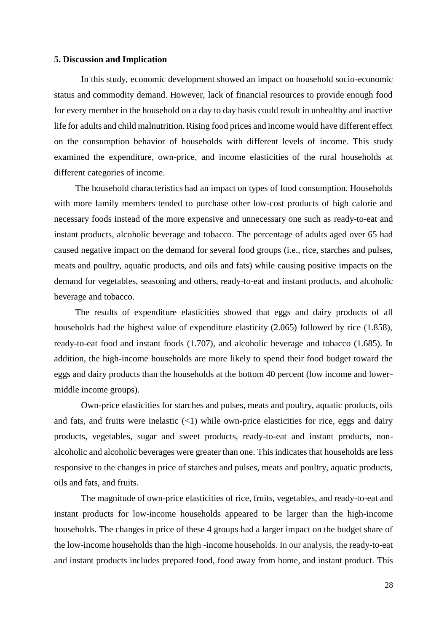### **5. Discussion and Implication**

In this study, economic development showed an impact on household socio-economic status and commodity demand. However, lack of financial resources to provide enough food for every member in the household on a day to day basis could result in unhealthy and inactive life for adults and child malnutrition. Rising food prices and income would have different effect on the consumption behavior of households with different levels of income. This study examined the expenditure, own-price, and income elasticities of the rural households at different categories of income.

The household characteristics had an impact on types of food consumption. Households with more family members tended to purchase other low-cost products of high calorie and necessary foods instead of the more expensive and unnecessary one such as ready-to-eat and instant products, alcoholic beverage and tobacco. The percentage of adults aged over 65 had caused negative impact on the demand for several food groups (i.e., rice, starches and pulses, meats and poultry, aquatic products, and oils and fats) while causing positive impacts on the demand for vegetables, seasoning and others, ready-to-eat and instant products, and alcoholic beverage and tobacco.

The results of expenditure elasticities showed that eggs and dairy products of all households had the highest value of expenditure elasticity (2.065) followed by rice (1.858), ready-to-eat food and instant foods (1.707), and alcoholic beverage and tobacco (1.685). In addition, the high-income households are more likely to spend their food budget toward the eggs and dairy products than the households at the bottom 40 percent (low income and lowermiddle income groups).

Own-price elasticities for starches and pulses, meats and poultry, aquatic products, oils and fats, and fruits were inelastic  $($ 1) while own-price elasticities for rice, eggs and dairy products, vegetables, sugar and sweet products, ready-to-eat and instant products, nonalcoholic and alcoholic beverages were greater than one. This indicates that households are less responsive to the changes in price of starches and pulses, meats and poultry, aquatic products, oils and fats, and fruits.

The magnitude of own-price elasticities of rice, fruits, vegetables, and ready-to-eat and instant products for low-income households appeared to be larger than the high-income households. The changes in price of these 4 groups had a larger impact on the budget share of the low-income households than the high -income households. In our analysis, the ready-to-eat and instant products includes prepared food, food away from home, and instant product. This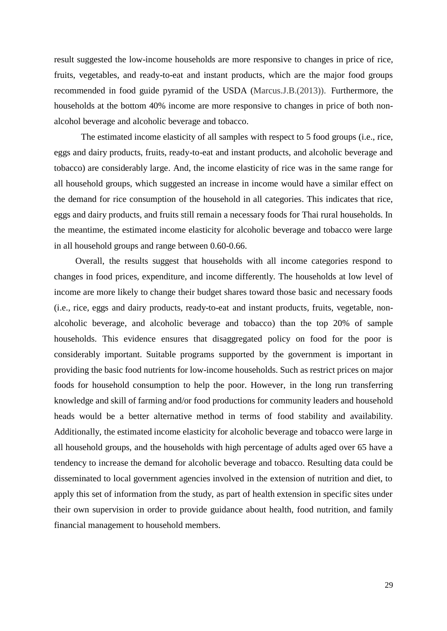result suggested the low-income households are more responsive to changes in price of rice, fruits, vegetables, and ready-to-eat and instant products, which are the major food groups recommended in food guide pyramid of the USDA (Marcus.J.B.(2013)). Furthermore, the households at the bottom 40% income are more responsive to changes in price of both nonalcohol beverage and alcoholic beverage and tobacco.

The estimated income elasticity of all samples with respect to 5 food groups (i.e., rice, eggs and dairy products, fruits, ready-to-eat and instant products, and alcoholic beverage and tobacco) are considerably large. And, the income elasticity of rice was in the same range for all household groups, which suggested an increase in income would have a similar effect on the demand for rice consumption of the household in all categories. This indicates that rice, eggs and dairy products, and fruits still remain a necessary foods for Thai rural households. In the meantime, the estimated income elasticity for alcoholic beverage and tobacco were large in all household groups and range between 0.60-0.66.

Overall, the results suggest that households with all income categories respond to changes in food prices, expenditure, and income differently. The households at low level of income are more likely to change their budget shares toward those basic and necessary foods (i.e., rice, eggs and dairy products, ready-to-eat and instant products, fruits, vegetable, nonalcoholic beverage, and alcoholic beverage and tobacco) than the top 20% of sample households. This evidence ensures that disaggregated policy on food for the poor is considerably important. Suitable programs supported by the government is important in providing the basic food nutrients for low-income households. Such as restrict prices on major foods for household consumption to help the poor. However, in the long run transferring knowledge and skill of farming and/or food productions for community leaders and household heads would be a better alternative method in terms of food stability and availability. Additionally, the estimated income elasticity for alcoholic beverage and tobacco were large in all household groups, and the households with high percentage of adults aged over 65 have a tendency to increase the demand for alcoholic beverage and tobacco. Resulting data could be disseminated to local government agencies involved in the extension of nutrition and diet, to apply this set of information from the study, as part of health extension in specific sites under their own supervision in order to provide guidance about health, food nutrition, and family financial management to household members.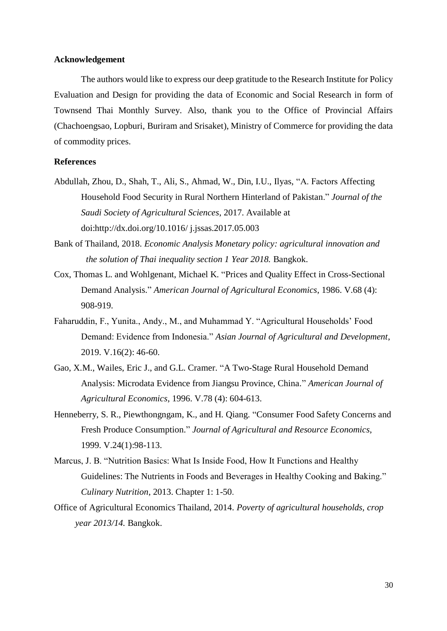### **Acknowledgement**

The authors would like to express our deep gratitude to the Research Institute for Policy Evaluation and Design for providing the data of Economic and Social Research in form of Townsend Thai Monthly Survey. Also, thank you to the Office of Provincial Affairs (Chachoengsao, Lopburi, Buriram and Srisaket), Ministry of Commerce for providing the data of commodity prices.

# **References**

- Abdullah, Zhou, D., Shah, T., Ali, S., Ahmad, W., Din, I.U., Ilyas, "A. Factors Affecting Household Food Security in Rural Northern Hinterland of Pakistan." *Journal of the Saudi Society of Agricultural Sciences*, 2017. Available at doi:http://dx.doi.org/10.1016/ j.jssas.2017.05.003
- Bank of Thailand, 2018. *Economic Analysis Monetary policy: agricultural innovation and the solution of Thai inequality section 1 Year 2018.* Bangkok.
- Cox, Thomas L. and Wohlgenant, Michael K. "Prices and Quality Effect in Cross-Sectional Demand Analysis." *American Journal of Agricultural Economics*, 1986. V.68 (4): 908-919.
- Faharuddin, F., Yunita., Andy., M., and Muhammad Y. "Agricultural Households' Food Demand: Evidence from Indonesia." *Asian Journal of Agricultural and Development*, 2019. V.16(2): 46-60.
- Gao, X.M., Wailes, Eric J., and G.L. Cramer. "A Two-Stage Rural Household Demand Analysis: Microdata Evidence from Jiangsu Province, China*.*" *American Journal of Agricultural Economics*, 1996. V.78 (4): 604-613.
- Henneberry, S. R., Piewthongngam, K., and H. Qiang. "Consumer Food Safety Concerns and Fresh Produce Consumption." *Journal of Agricultural and Resource Economics*, 1999. V.24(1):98-113.
- Marcus, J. B. "Nutrition Basics: What Is Inside Food, How It Functions and Healthy Guidelines: The Nutrients in Foods and Beverages in Healthy Cooking and Baking." *[Culinary Nutrition](https://www.sciencedirect.com/book/9780123918826/culinary-nutrition)*, 2013. Chapter 1: 1-50.
- Office of Agricultural Economics Thailand, 2014. *Poverty of agricultural households, crop year 2013/14.* Bangkok.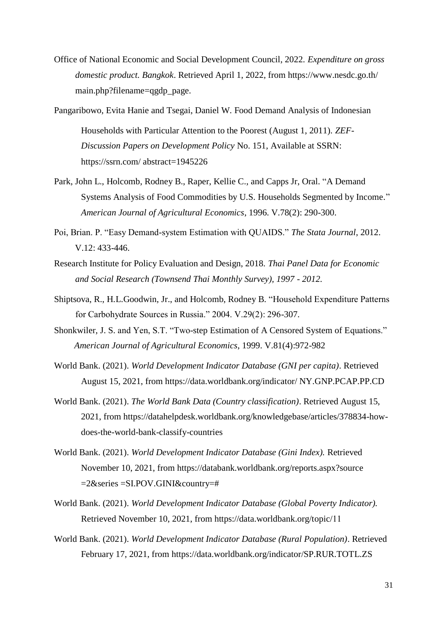- Office of National Economic and Social Development Council, 2022. *Expenditure on gross domestic product. Bangkok*. Retrieved April 1, 2022, from https://www.nesdc.go.th/ main.php?filename=qgdp\_page.
- Pangaribowo, Evita Hanie and Tsegai, Daniel W. Food Demand Analysis of Indonesian Households with Particular Attention to the Poorest (August 1, 2011). *ZEF-Discussion Papers on Development Policy* No. 151, Available at SSRN: https://ssrn.com/ abstract=1945226
- Park, John L., Holcomb, Rodney B., Raper, Kellie C., and Capps Jr, Oral. "A Demand Systems Analysis of Food Commodities by U.S. Households Segmented by Income." *American Journal of Agricultural Economics*, 1996. V.78(2): 290-300.
- Poi, Brian. P. "Easy Demand-system Estimation with QUAIDS." *The Stata Journal*, 2012. V.12: 433-446.
- Research Institute for Policy Evaluation and Design, 2018. *Thai Panel Data for Economic and Social Research (Townsend Thai Monthly Survey), 1997 - 2012.*
- Shiptsova, R., H.L.Goodwin, Jr., and Holcomb, Rodney B. "Household Expenditure Patterns for Carbohydrate Sources in Russia." 2004. V.29(2): 296-307.
- Shonkwiler, J. S. and Yen, S.T. "Two-step Estimation of A Censored System of Equations."  *American Journal of Agricultural Economics*, 1999. V.81(4):972-982
- World Bank. (2021). *World Development Indicator Database (GNI per capita)*. Retrieved August 15, 2021, from https://data.worldbank.org/indicator/ NY.GNP.PCAP.PP.CD
- World Bank. (2021). *The World Bank Data (Country classification)*. Retrieved August 15, 2021, from https://datahelpdesk.worldbank.org/knowledgebase/articles/378834-howdoes-the-world-bank-classify-countries
- World Bank. (2021). *World Development Indicator Database (Gini Index).* Retrieved November 10, 2021, from https://databank.worldbank.org/reports.aspx?source =2&series =SI.POV.GINI&country=#
- World Bank. (2021). *World Development Indicator Database (Global Poverty Indicator).*  Retrieved November 10, 2021, from https://data.worldbank.org/topic/11
- World Bank. (2021). *World Development Indicator Database (Rural Population)*. Retrieved February 17, 2021, from https://data.worldbank.org/indicator/SP.RUR.TOTL.ZS